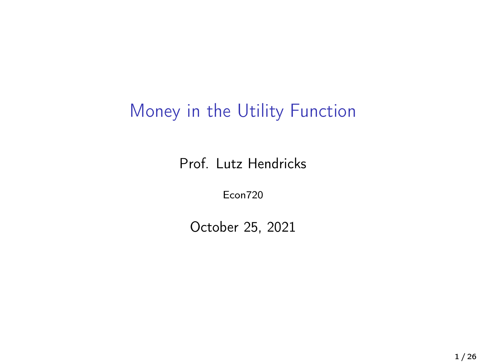## Money in the Utility Function

Prof. Lutz Hendricks

Econ720

October 25, 2021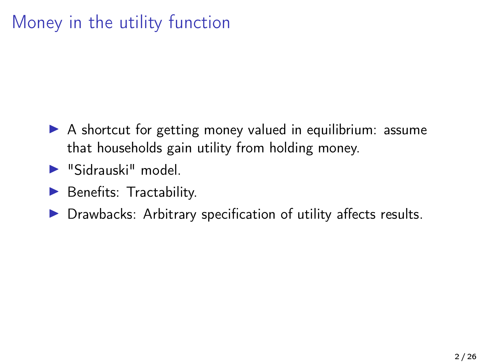## Money in the utility function

- $\triangleright$  A shortcut for getting money valued in equilibrium: assume that households gain utility from holding money.
- $\blacktriangleright$  "Sidrauski" model
- $\blacktriangleright$  Benefits: Tractability.
- $\triangleright$  Drawbacks: Arbitrary specification of utility affects results.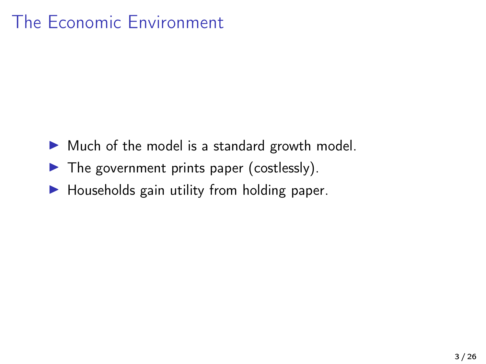## The Economic Environment

- $\triangleright$  Much of the model is a standard growth model.
- $\blacktriangleright$  The government prints paper (costlessly).
- $\blacktriangleright$  Households gain utility from holding paper.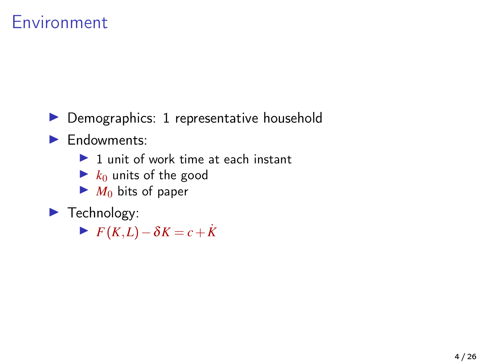#### Environment

 $\triangleright$  Demographics: 1 representative household

**F**ndowments:

 $\blacktriangleright$  1 unit of work time at each instant

- $\blacktriangleright$   $k_0$  units of the good
- $\blacktriangleright$  *M*<sub>0</sub> bits of paper

 $\blacktriangleright$  Technology:

 $\blacktriangleright$  *F*(*K*,*L*)−δ*K* = *c* + *K*<sup> $\vdash$ </sup>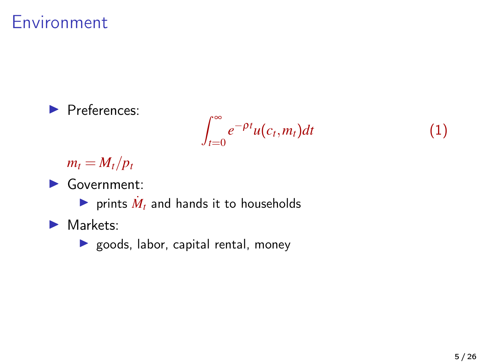#### Environment



 $m_t = M_t/p_t$ 

 $\blacktriangleright$  Government:

rints  $\dot{M}_t$  and hands it to households

- $\blacktriangleright$  Markets:
	- $\blacktriangleright$  goods, labor, capital rental, money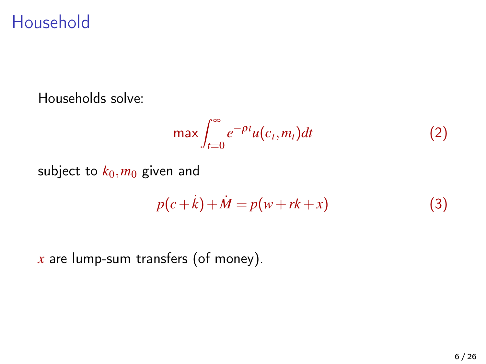### Household

Households solve:

$$
\max \int_{t=0}^{\infty} e^{-\rho t} u(c_t, m_t) dt
$$
 (2)

subject to  $k_0$ ,  $m_0$  given and

$$
p(c+k) + M = p(w + rk + x)
$$
 (3)

*x* are lump-sum transfers (of money).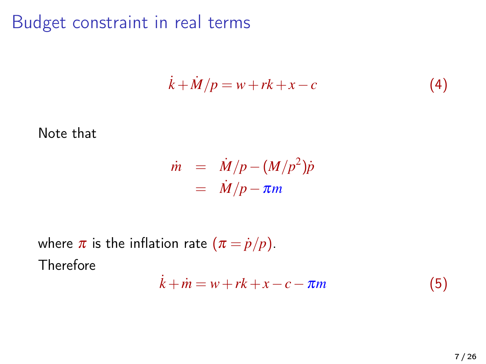#### Budget constraint in real terms

$$
\dot{k} + \dot{M}/p = w + rk + x - c \tag{4}
$$

#### Note that

$$
\dot{m} = \dot{M}/p - (M/p^2)\dot{p}
$$
  
=  $\dot{M}/p - \pi m$ 

where  $\pi$  is the inflation rate  $(\pi = \dot{p}/p)$ . Therefore

$$
\dot{k} + \dot{m} = w + rk + x - c - \pi m \tag{5}
$$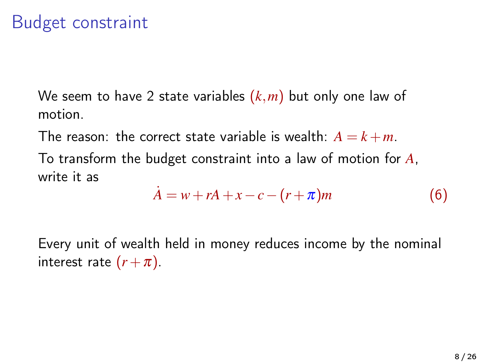## Budget constraint

We seem to have 2 state variables (*k*,*m*) but only one law of motion.

The reason: the correct state variable is wealth:  $A = k + m$ .

To transform the budget constraint into a law of motion for *A*, write it as

$$
\dot{A} = w + rA + x - c - (r + \pi)m \tag{6}
$$

Every unit of wealth held in money reduces income by the nominal interest rate  $(r + \pi)$ .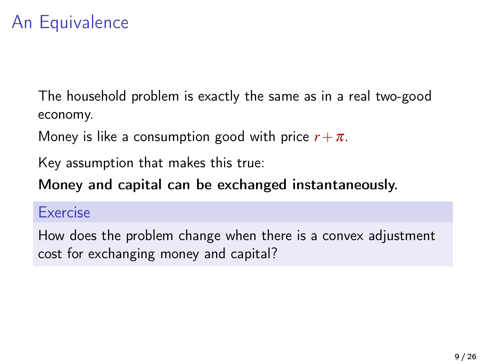## An Equivalence

The household problem is exactly the same as in a real two-good economy.

Money is like a consumption good with price  $r + \pi$ .

Key assumption that makes this true:

Money and capital can be exchanged instantaneously.

#### Exercise

How does the problem change when there is a convex adjustment cost for exchanging money and capital?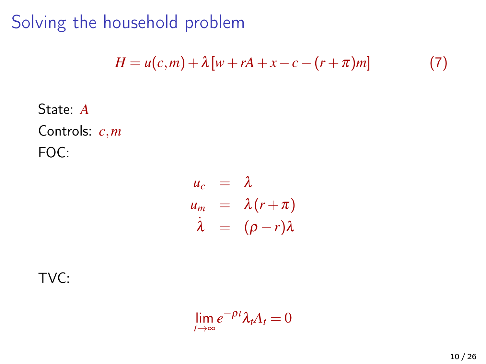Solving the household problem

$$
H = u(c,m) + \lambda [w + rA + x - c - (r + \pi)m]
$$
 (7)

State: *A* Controls: *c*,*m* FOC:

$$
\begin{array}{rcl}\nu_c & = & \lambda \\
u_m & = & \lambda(r + \pi) \\
\dot{\lambda} & = & (\rho - r)\lambda\n\end{array}
$$

TVC:

$$
\lim_{t\to\infty}e^{-\rho t}\lambda_t A_t=0
$$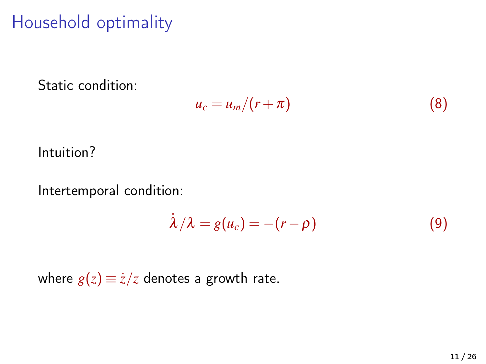## Household optimality

Static condition:

$$
u_c = u_m/(r+\pi) \tag{8}
$$

Intuition?

Intertemporal condition:

$$
\dot{\lambda}/\lambda = g(u_c) = -(r - \rho) \tag{9}
$$

where  $g(z) \equiv \dot{z}/z$  denotes a growth rate.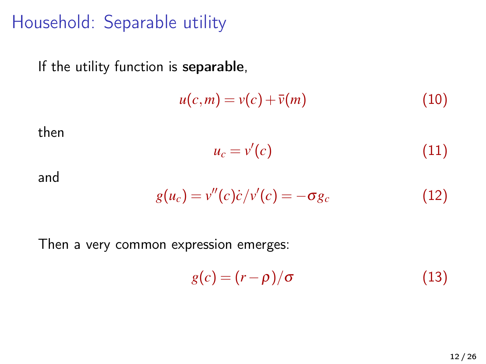### Household: Separable utility

If the utility function is separable,

$$
u(c,m) = v(c) + \bar{v}(m) \tag{10}
$$

then

$$
u_c = v'(c) \tag{11}
$$

and

$$
g(u_c) = v''(c)\dot{c}/v'(c) = -\sigma g_c \qquad (12)
$$

Then a very common expression emerges:

$$
g(c) = (r - \rho)/\sigma \tag{13}
$$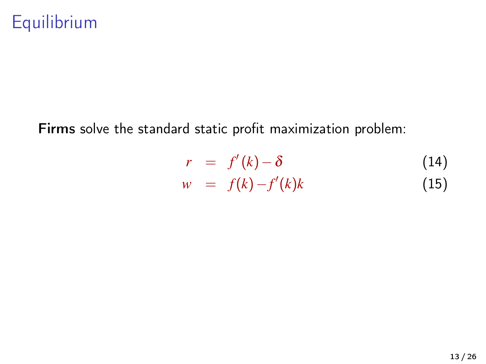## Equilibrium

Firms solve the standard static profit maximization problem:

$$
r = f'(k) - \delta \tag{14}
$$
  

$$
w = f(k) - f'(k)k \tag{15}
$$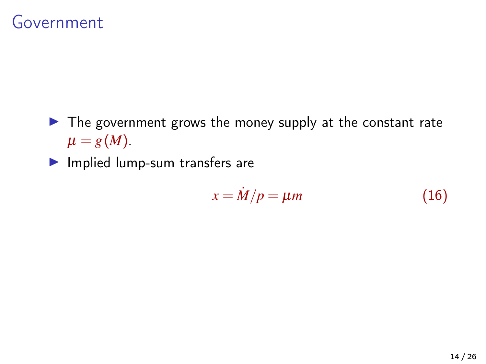#### Government

- $\blacktriangleright$  The government grows the money supply at the constant rate  $\mu = g(M)$ .
- $\blacktriangleright$  Implied lump-sum transfers are

$$
x = \dot{M}/p = \mu m \tag{16}
$$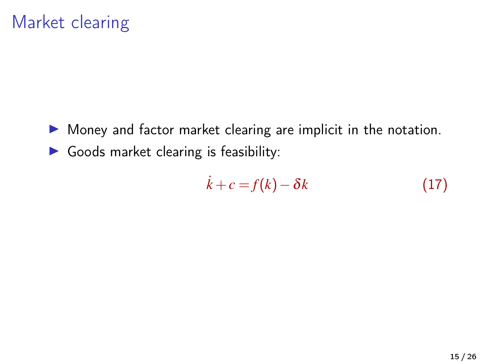## Market clearing

- $\triangleright$  Money and factor market clearing are implicit in the notation.
- $\triangleright$  Goods market clearing is feasibility:

$$
\dot{k} + c = f(k) - \delta k \tag{17}
$$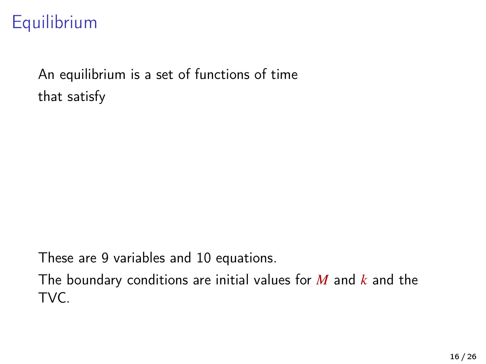## Equilibrium

An equilibrium is a set of functions of time that satisfy

These are 9 variables and 10 equations.

The boundary conditions are initial values for *M* and *k* and the TVC.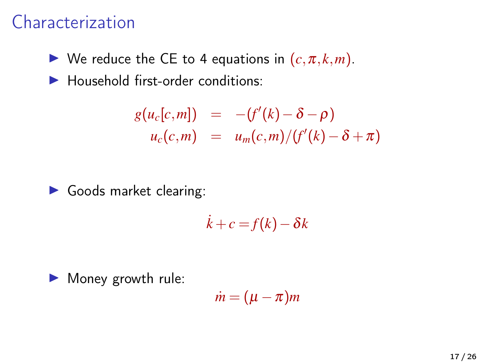#### Characterization

 $\blacktriangleright$  We reduce the CE to 4 equations in  $(c, \pi, k, m)$ .

 $\blacktriangleright$  Household first-order conditions:

$$
g(u_c[c,m]) = -(f'(k) - \delta - \rho)
$$
  
 
$$
u_c(c,m) = u_m(c,m)/(f'(k) - \delta + \pi)
$$

I Goods market clearing:

$$
\dot{k}+c=f(k)-\delta k
$$

 $\blacktriangleright$  Money growth rule:

$$
\dot{m}=(\mu-\pi)m
$$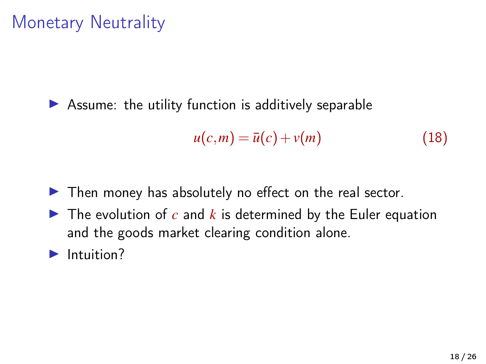## Monetary Neutrality

 $\triangleright$  Assume: the utility function is additively separable

$$
u(c,m) = \bar{u}(c) + v(m) \tag{18}
$$

- $\blacktriangleright$  Then money has absolutely no effect on the real sector.
- $\blacktriangleright$  The evolution of  $c$  and  $k$  is determined by the Euler equation and the goods market clearing condition alone.
- $\blacktriangleright$  Intuition?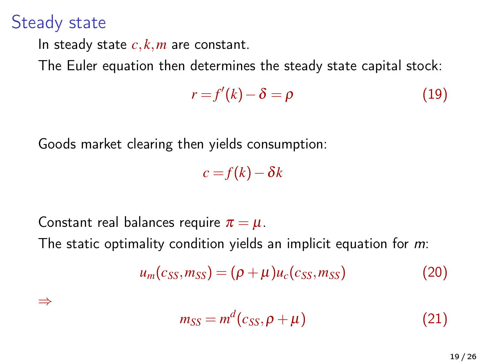#### Steady state

In steady state  $c, k, m$  are constant.

The Euler equation then determines the steady state capital stock:

$$
r = f'(k) - \delta = \rho \tag{19}
$$

Goods market clearing then yields consumption:

 $c = f(k) - \delta k$ 

Constant real balances require  $\pi = \mu$ . The static optimality condition yields an implicit equation for *m*:

$$
u_m(c_{SS}, m_{SS}) = (\rho + \mu)u_c(c_{SS}, m_{SS})
$$
 (20)

⇒

<span id="page-18-0"></span>
$$
m_{SS} = m^d(c_{SS}, \rho + \mu)
$$
 (21)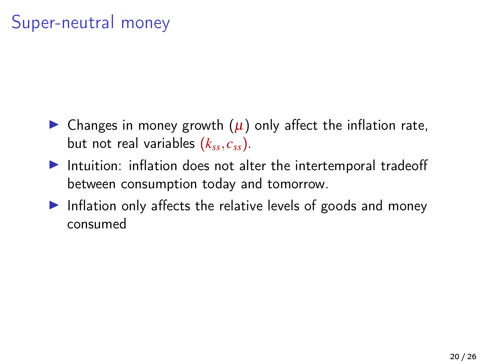## Super-neutral money

- $\triangleright$  Changes in money growth  $(\mu)$  only affect the inflation rate, but not real variables (*kss*, *css*).
- $\blacktriangleright$  Intuition: inflation does not alter the intertemporal tradeoff between consumption today and tomorrow.
- Inflation only affects the relative levels of goods and money consumed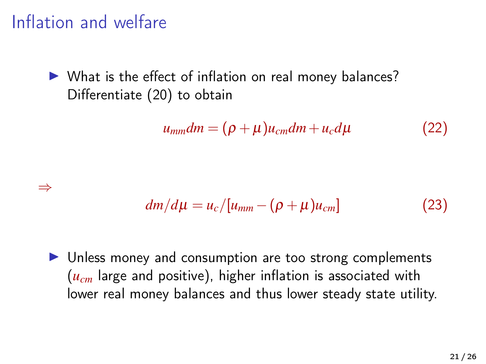## Inflation and welfare

 $\triangleright$  What is the effect of inflation on real money balances? Differentiate [\(20\)](#page-18-0) to obtain

$$
u_{mm}dm = (\rho + \mu)u_{cm}dm + u_c d\mu \qquad (22)
$$

$$
\quad\Rightarrow\quad
$$

$$
dm/d\mu = u_c/[u_{mm} - (\rho + \mu)u_{cm}] \qquad (23)
$$

 $\triangleright$  Unless money and consumption are too strong complements (*ucm* large and positive), higher inflation is associated with lower real money balances and thus lower steady state utility.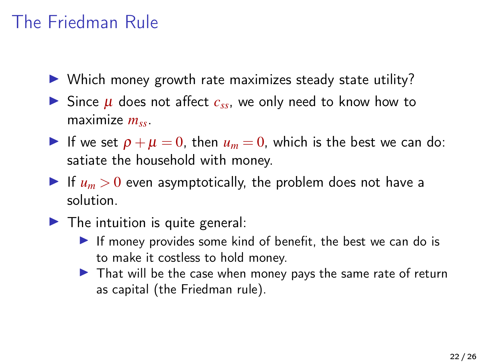## The Friedman Rule

- $\triangleright$  Which money growth rate maximizes steady state utility?
- $\triangleright$  Since  $\mu$  does not affect  $c_{ss}$ , we only need to know how to maximize *mss*.
- If we set  $\rho + \mu = 0$ , then  $u_m = 0$ , which is the best we can do: satiate the household with money.
- If  $u_m > 0$  even asymptotically, the problem does not have a solution.
- $\blacktriangleright$  The intuition is quite general:
	- If money provides some kind of benefit, the best we can do is to make it costless to hold money.
	- $\triangleright$  That will be the case when money pays the same rate of return as capital (the Friedman rule).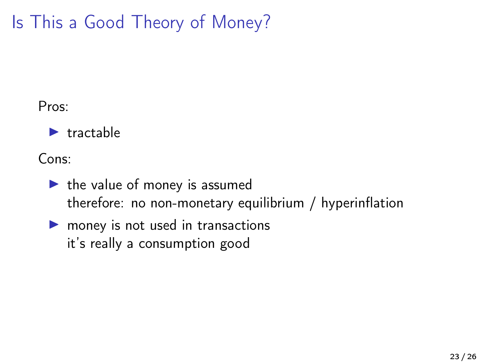# Is This a Good Theory of Money?

#### Pros:

 $\blacktriangleright$  tractable

Cons:

- $\blacktriangleright$  the value of money is assumed therefore: no non-monetary equilibrium / hyperinflation
- $\blacktriangleright$  money is not used in transactions it's really a consumption good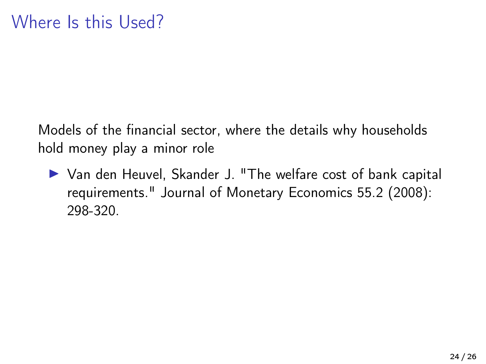Models of the financial sector, where the details why households hold money play a minor role

▶ Van den Heuvel, Skander J. "The welfare cost of bank capital requirements." Journal of Monetary Economics 55.2 (2008): 298-320.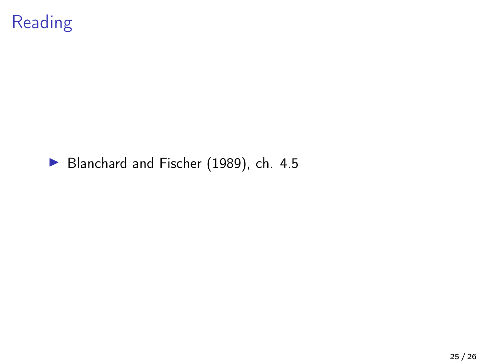

#### [Blanchard and Fischer \(1989\)](#page-25-0), ch. 4.5